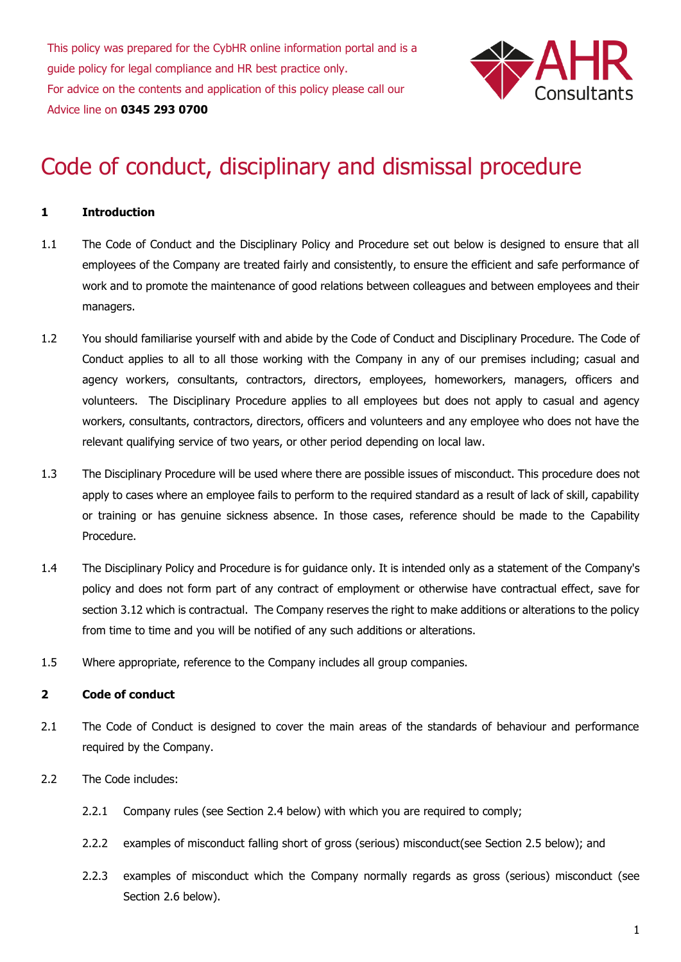This policy was prepared for the CybHR online information portal and is a guide policy for legal compliance and HR best practice only. For advice on the contents and application of this policy please call our Advice line on **0345 293 0700**



# Code of conduct, disciplinary and dismissal procedure

# **1 Introduction**

- 1.1 The Code of Conduct and the Disciplinary Policy and Procedure set out below is designed to ensure that all employees of the Company are treated fairly and consistently, to ensure the efficient and safe performance of work and to promote the maintenance of good relations between colleagues and between employees and their managers.
- <span id="page-0-0"></span>1.2 You should familiarise yourself with and abide by the Code of Conduct and Disciplinary Procedure. The Code of Conduct applies to all to all those working with the Company in any of our premises including; casual and agency workers, consultants, contractors, directors, employees, homeworkers, managers, officers and volunteers. The Disciplinary Procedure applies to all employees but does not apply to casual and agency workers, consultants, contractors, directors, officers and volunteers and any employee who does not have the relevant qualifying service of two years, or other period depending on local law.
- 1.3 The Disciplinary Procedure will be used where there are possible issues of misconduct. This procedure does not apply to cases where an employee fails to perform to the required standard as a result of lack of skill, capability or training or has genuine sickness absence. In those cases, reference should be made to the Capability Procedure.
- <span id="page-0-1"></span>1.4 The Disciplinary Policy and Procedure is for guidance only. It is intended only as a statement of the Company's policy and does not form part of any contract of employment or otherwise have contractual effect, save for section [3.12](#page-9-0) which is contractual. The Company reserves the right to make additions or alterations to the policy from time to time and you will be notified of any such additions or alterations.
- 1.5 Where appropriate, reference to the Company includes all group companies.

## **2 Code of conduct**

- 2.1 The Code of Conduct is designed to cover the main areas of the standards of behaviour and performance required by the Company.
- 2.2 The Code includes:
	- 2.2.1 Company rules (see Section [2.4](#page-1-0) below) with which you are required to comply;
	- 2.2.2 examples of misconduct falling short of gross (serious) misconduct (see Section [2.5](#page-2-0) below); and
	- 2.2.3 examples of misconduct which the Company normally regards as gross (serious) misconduct (see Section [2.6](#page-3-0) below).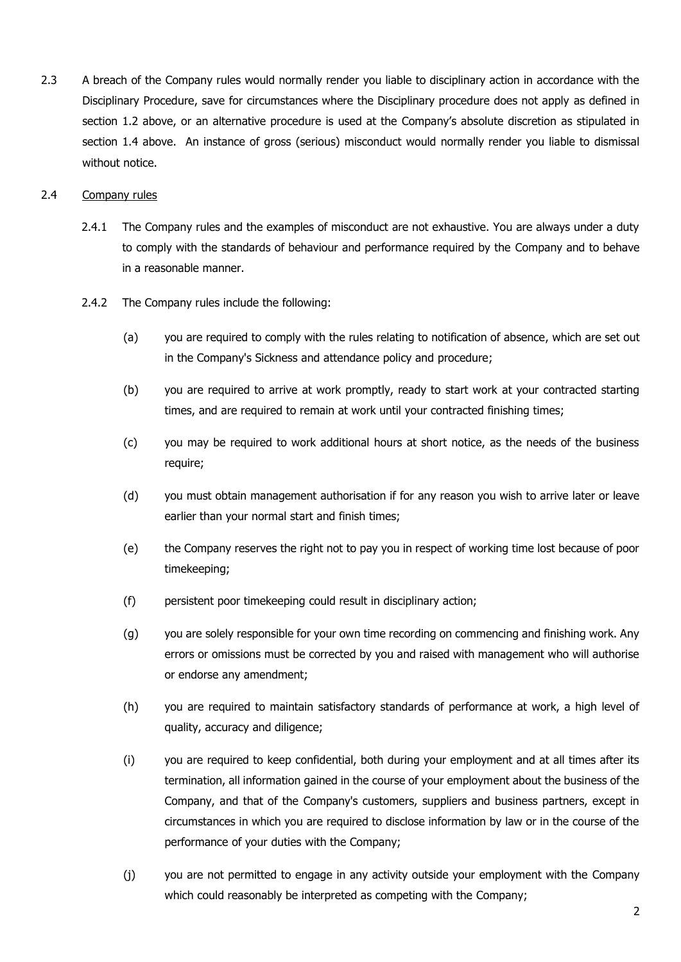2.3 A breach of the Company rules would normally render you liable to disciplinary action in accordance with the Disciplinary Procedure, save for circumstances where the Disciplinary procedure does not apply as defined in section [1.2](#page-0-0) above, or an alternative procedure is used at the Company's absolute discretion as stipulated in section [1.4](#page-0-1) above. An instance of gross (serious) misconduct would normally render you liable to dismissal without notice.

## 2.4 Company rules

- <span id="page-1-0"></span>2.4.1 The Company rules and the examples of misconduct are not exhaustive. You are always under a duty to comply with the standards of behaviour and performance required by the Company and to behave in a reasonable manner.
- 2.4.2 The Company rules include the following:
	- (a) you are required to comply with the rules relating to notification of absence, which are set out in the Company's Sickness and attendance policy and procedure;
	- (b) you are required to arrive at work promptly, ready to start work at your contracted starting times, and are required to remain at work until your contracted finishing times;
	- (c) you may be required to work additional hours at short notice, as the needs of the business require;
	- (d) you must obtain management authorisation if for any reason you wish to arrive later or leave earlier than your normal start and finish times;
	- (e) the Company reserves the right not to pay you in respect of working time lost because of poor timekeeping;
	- (f) persistent poor timekeeping could result in disciplinary action;
	- (g) you are solely responsible for your own time recording on commencing and finishing work. Any errors or omissions must be corrected by you and raised with management who will authorise or endorse any amendment;
	- (h) you are required to maintain satisfactory standards of performance at work, a high level of quality, accuracy and diligence;
	- (i) you are required to keep confidential, both during your employment and at all times after its termination, all information gained in the course of your employment about the business of the Company, and that of the Company's customers, suppliers and business partners, except in circumstances in which you are required to disclose information by law or in the course of the performance of your duties with the Company;
	- (j) you are not permitted to engage in any activity outside your employment with the Company which could reasonably be interpreted as competing with the Company;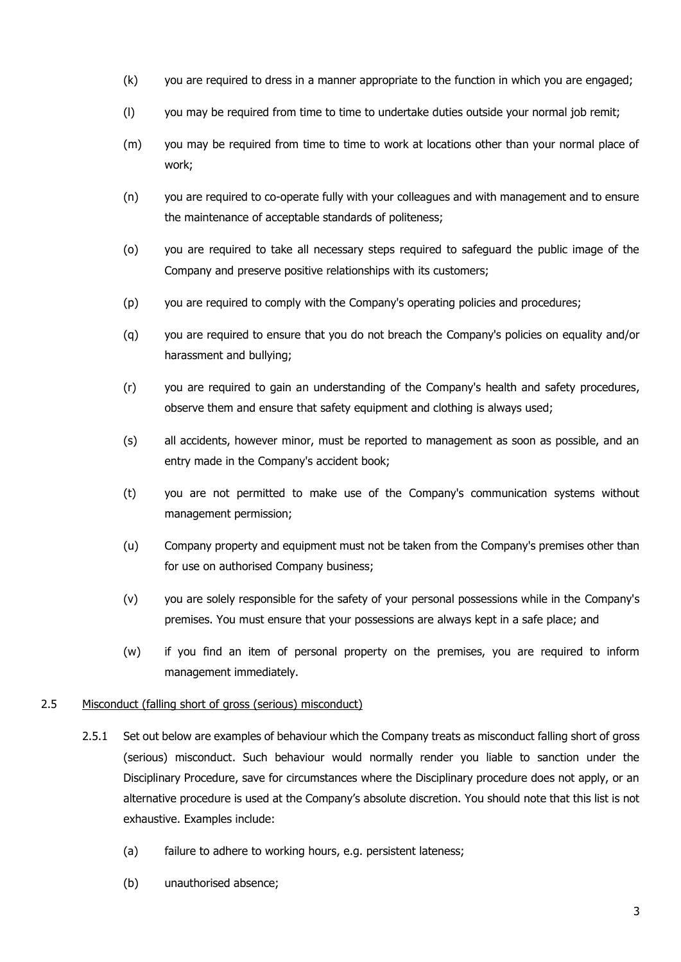- (k) you are required to dress in a manner appropriate to the function in which you are engaged;
- (l) you may be required from time to time to undertake duties outside your normal job remit;
- (m) you may be required from time to time to work at locations other than your normal place of work;
- (n) you are required to co-operate fully with your colleagues and with management and to ensure the maintenance of acceptable standards of politeness;
- (o) you are required to take all necessary steps required to safeguard the public image of the Company and preserve positive relationships with its customers;
- (p) you are required to comply with the Company's operating policies and procedures;
- (q) you are required to ensure that you do not breach the Company's policies on equality and/or harassment and bullying;
- (r) you are required to gain an understanding of the Company's health and safety procedures, observe them and ensure that safety equipment and clothing is always used;
- (s) all accidents, however minor, must be reported to management as soon as possible, and an entry made in the Company's accident book;
- (t) you are not permitted to make use of the Company's communication systems without management permission;
- (u) Company property and equipment must not be taken from the Company's premises other than for use on authorised Company business;
- (v) you are solely responsible for the safety of your personal possessions while in the Company's premises. You must ensure that your possessions are always kept in a safe place; and
- <span id="page-2-0"></span>(w) if you find an item of personal property on the premises, you are required to inform management immediately.

#### 2.5 Misconduct (falling short of gross (serious) misconduct)

- 2.5.1 Set out below are examples of behaviour which the Company treats as misconduct falling short of gross (serious) misconduct. Such behaviour would normally render you liable to sanction under the Disciplinary Procedure, save for circumstances where the Disciplinary procedure does not apply, or an alternative procedure is used at the Company's absolute discretion. You should note that this list is not exhaustive. Examples include:
	- (a) failure to adhere to working hours, e.g. persistent lateness;
	- (b) unauthorised absence;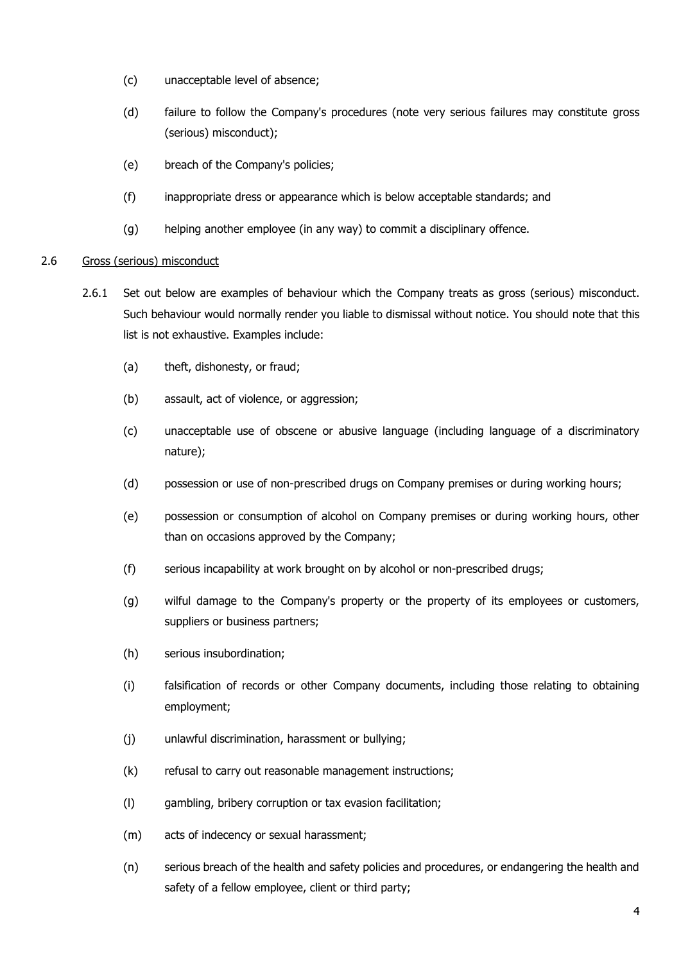- (c) unacceptable level of absence;
- (d) failure to follow the Company's procedures (note very serious failures may constitute gross (serious) misconduct);
- (e) breach of the Company's policies;
- (f) inappropriate dress or appearance which is below acceptable standards; and
- <span id="page-3-0"></span>(g) helping another employee (in any way) to commit a disciplinary offence.

# 2.6 Gross (serious) misconduct

- 2.6.1 Set out below are examples of behaviour which the Company treats as gross (serious) misconduct. Such behaviour would normally render you liable to dismissal without notice. You should note that this list is not exhaustive. Examples include:
	- (a) theft, dishonesty, or fraud;
	- (b) assault, act of violence, or aggression;
	- (c) unacceptable use of obscene or abusive language (including language of a discriminatory nature);
	- (d) possession or use of non-prescribed drugs on Company premises or during working hours;
	- (e) possession or consumption of alcohol on Company premises or during working hours, other than on occasions approved by the Company;
	- (f) serious incapability at work brought on by alcohol or non-prescribed drugs;
	- (g) wilful damage to the Company's property or the property of its employees or customers, suppliers or business partners;
	- (h) serious insubordination;
	- (i) falsification of records or other Company documents, including those relating to obtaining employment;
	- (j) unlawful discrimination, harassment or bullying;
	- (k) refusal to carry out reasonable management instructions;
	- (l) gambling, bribery corruption or tax evasion facilitation;
	- (m) acts of indecency or sexual harassment;
	- (n) serious breach of the health and safety policies and procedures, or endangering the health and safety of a fellow employee, client or third party;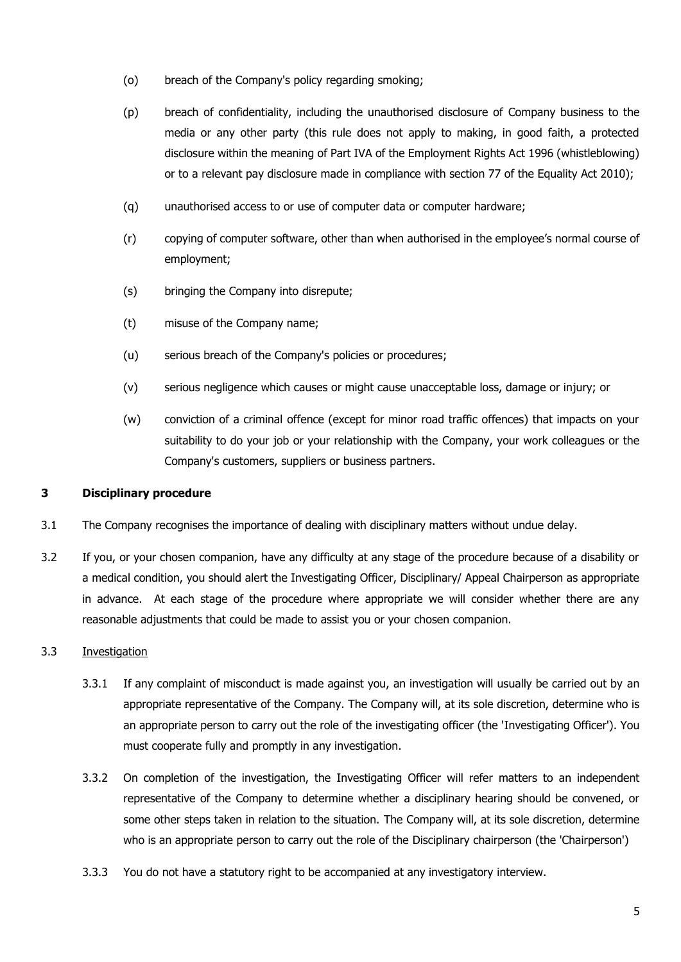- (o) breach of the Company's policy regarding smoking;
- (p) breach of confidentiality, including the unauthorised disclosure of Company business to the media or any other party (this rule does not apply to making, in good faith, a protected disclosure within the meaning of Part IVA of the Employment Rights Act 1996 (whistleblowing) or to a relevant pay disclosure made in compliance with section 77 of the Equality Act 2010);
- (q) unauthorised access to or use of computer data or computer hardware;
- (r) copying of computer software, other than when authorised in the employee's normal course of employment;
- (s) bringing the Company into disrepute;
- (t) misuse of the Company name;
- (u) serious breach of the Company's policies or procedures;
- (v) serious negligence which causes or might cause unacceptable loss, damage or injury; or
- (w) conviction of a criminal offence (except for minor road traffic offences) that impacts on your suitability to do your job or your relationship with the Company, your work colleagues or the Company's customers, suppliers or business partners.

#### **3 Disciplinary procedure**

- 3.1 The Company recognises the importance of dealing with disciplinary matters without undue delay.
- 3.2 If you, or your chosen companion, have any difficulty at any stage of the procedure because of a disability or a medical condition, you should alert the Investigating Officer, Disciplinary/ Appeal Chairperson as appropriate in advance. At each stage of the procedure where appropriate we will consider whether there are any reasonable adjustments that could be made to assist you or your chosen companion.

#### 3.3 Investigation

- 3.3.1 If any complaint of misconduct is made against you, an investigation will usually be carried out by an appropriate representative of the Company. The Company will, at its sole discretion, determine who is an appropriate person to carry out the role of the investigating officer (the 'Investigating Officer'). You must cooperate fully and promptly in any investigation.
- 3.3.2 On completion of the investigation, the Investigating Officer will refer matters to an independent representative of the Company to determine whether a disciplinary hearing should be convened, or some other steps taken in relation to the situation. The Company will, at its sole discretion, determine who is an appropriate person to carry out the role of the Disciplinary chairperson (the 'Chairperson')
- 3.3.3 You do not have a statutory right to be accompanied at any investigatory interview.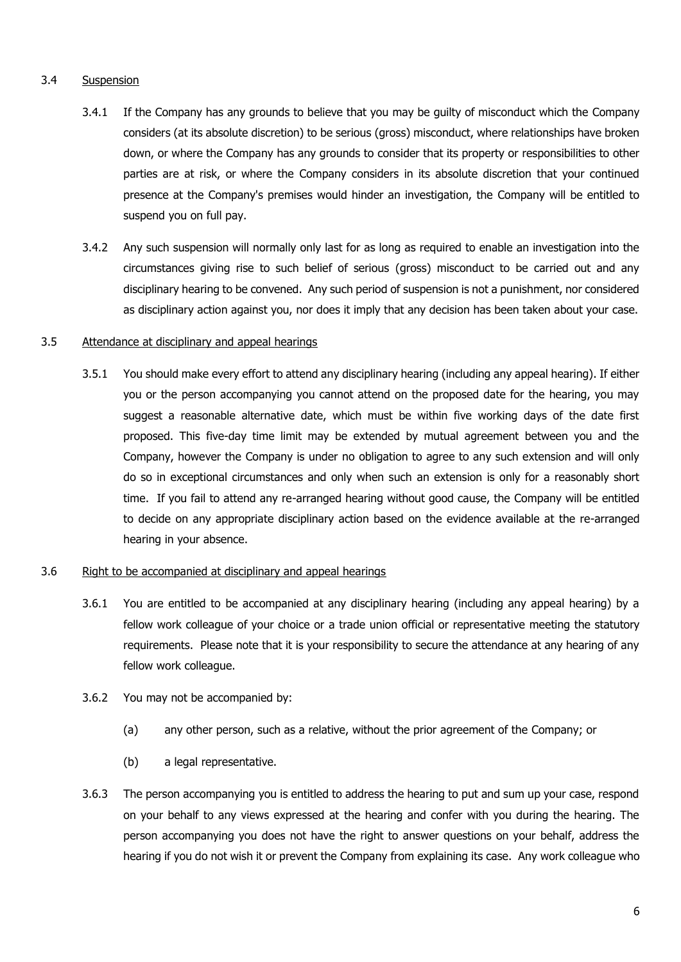## 3.4 Suspension

- 3.4.1 If the Company has any grounds to believe that you may be guilty of misconduct which the Company considers (at its absolute discretion) to be serious (gross) misconduct, where relationships have broken down, or where the Company has any grounds to consider that its property or responsibilities to other parties are at risk, or where the Company considers in its absolute discretion that your continued presence at the Company's premises would hinder an investigation, the Company will be entitled to suspend you on full pay.
- 3.4.2 Any such suspension will normally only last for as long as required to enable an investigation into the circumstances giving rise to such belief of serious (gross) misconduct to be carried out and any disciplinary hearing to be convened. Any such period of suspension is not a punishment, nor considered as disciplinary action against you, nor does it imply that any decision has been taken about your case.

#### 3.5 Attendance at disciplinary and appeal hearings

3.5.1 You should make every effort to attend any disciplinary hearing (including any appeal hearing). If either you or the person accompanying you cannot attend on the proposed date for the hearing, you may suggest a reasonable alternative date, which must be within five working days of the date first proposed. This five-day time limit may be extended by mutual agreement between you and the Company, however the Company is under no obligation to agree to any such extension and will only do so in exceptional circumstances and only when such an extension is only for a reasonably short time. If you fail to attend any re-arranged hearing without good cause, the Company will be entitled to decide on any appropriate disciplinary action based on the evidence available at the re-arranged hearing in your absence.

#### 3.6 Right to be accompanied at disciplinary and appeal hearings

- 3.6.1 You are entitled to be accompanied at any disciplinary hearing (including any appeal hearing) by a fellow work colleague of your choice or a trade union official or representative meeting the statutory requirements. Please note that it is your responsibility to secure the attendance at any hearing of any fellow work colleague.
- 3.6.2 You may not be accompanied by:
	- (a) any other person, such as a relative, without the prior agreement of the Company; or
	- (b) a legal representative.
- 3.6.3 The person accompanying you is entitled to address the hearing to put and sum up your case, respond on your behalf to any views expressed at the hearing and confer with you during the hearing. The person accompanying you does not have the right to answer questions on your behalf, address the hearing if you do not wish it or prevent the Company from explaining its case. Any work colleague who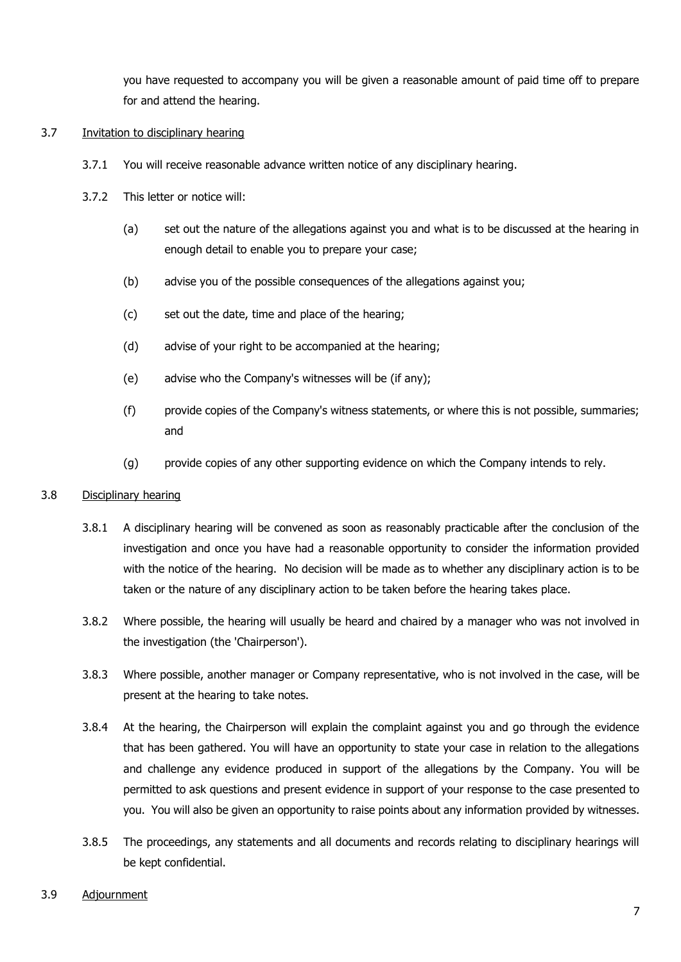you have requested to accompany you will be given a reasonable amount of paid time off to prepare for and attend the hearing.

## 3.7 Invitation to disciplinary hearing

- 3.7.1 You will receive reasonable advance written notice of any disciplinary hearing.
- 3.7.2 This letter or notice will:
	- (a) set out the nature of the allegations against you and what is to be discussed at the hearing in enough detail to enable you to prepare your case;
	- (b) advise you of the possible consequences of the allegations against you;
	- (c) set out the date, time and place of the hearing;
	- (d) advise of your right to be accompanied at the hearing;
	- (e) advise who the Company's witnesses will be (if any);
	- (f) provide copies of the Company's witness statements, or where this is not possible, summaries; and
	- (g) provide copies of any other supporting evidence on which the Company intends to rely.

# 3.8 Disciplinary hearing

- 3.8.1 A disciplinary hearing will be convened as soon as reasonably practicable after the conclusion of the investigation and once you have had a reasonable opportunity to consider the information provided with the notice of the hearing. No decision will be made as to whether any disciplinary action is to be taken or the nature of any disciplinary action to be taken before the hearing takes place.
- 3.8.2 Where possible, the hearing will usually be heard and chaired by a manager who was not involved in the investigation (the 'Chairperson').
- 3.8.3 Where possible, another manager or Company representative, who is not involved in the case, will be present at the hearing to take notes.
- 3.8.4 At the hearing, the Chairperson will explain the complaint against you and go through the evidence that has been gathered. You will have an opportunity to state your case in relation to the allegations and challenge any evidence produced in support of the allegations by the Company. You will be permitted to ask questions and present evidence in support of your response to the case presented to you. You will also be given an opportunity to raise points about any information provided by witnesses.
- 3.8.5 The proceedings, any statements and all documents and records relating to disciplinary hearings will be kept confidential.
- 3.9 Adjournment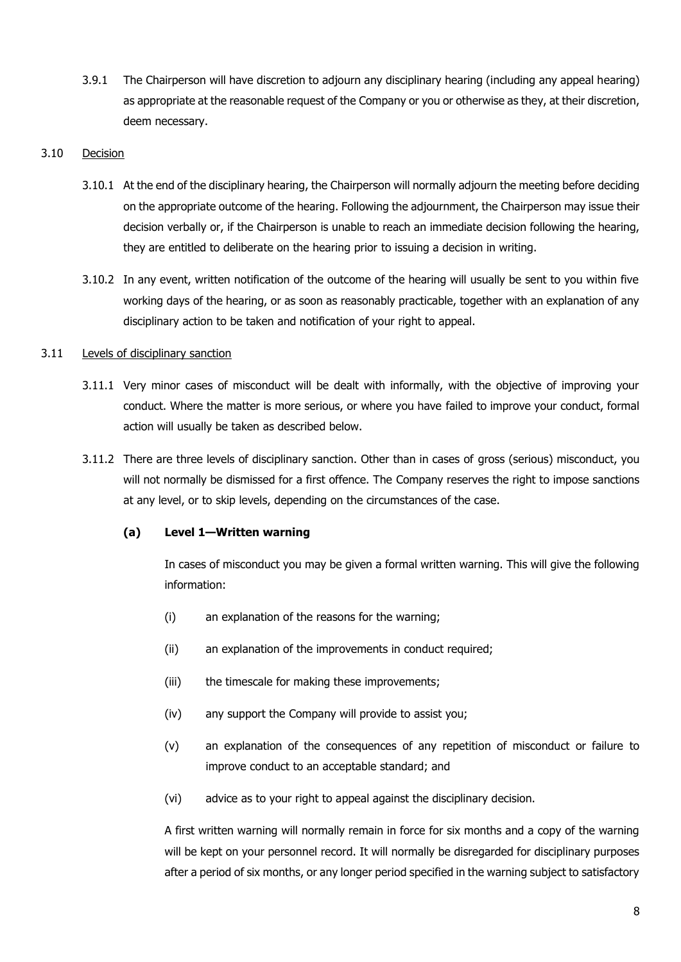3.9.1 The Chairperson will have discretion to adjourn any disciplinary hearing (including any appeal hearing) as appropriate at the reasonable request of the Company or you or otherwise as they, at their discretion, deem necessary.

## 3.10 Decision

- 3.10.1 At the end of the disciplinary hearing, the Chairperson will normally adjourn the meeting before deciding on the appropriate outcome of the hearing. Following the adjournment, the Chairperson may issue their decision verbally or, if the Chairperson is unable to reach an immediate decision following the hearing, they are entitled to deliberate on the hearing prior to issuing a decision in writing.
- 3.10.2 In any event, written notification of the outcome of the hearing will usually be sent to you within five working days of the hearing, or as soon as reasonably practicable, together with an explanation of any disciplinary action to be taken and notification of your right to appeal.

# 3.11 Levels of disciplinary sanction

- 3.11.1 Very minor cases of misconduct will be dealt with informally, with the objective of improving your conduct. Where the matter is more serious, or where you have failed to improve your conduct, formal action will usually be taken as described below.
- 3.11.2 There are three levels of disciplinary sanction. Other than in cases of gross (serious) misconduct, you will not normally be dismissed for a first offence. The Company reserves the right to impose sanctions at any level, or to skip levels, depending on the circumstances of the case.

# **(a) Level 1—Written warning**

In cases of misconduct you may be given a formal written warning. This will give the following information:

- (i) an explanation of the reasons for the warning;
- (ii) an explanation of the improvements in conduct required;
- (iii) the timescale for making these improvements;
- (iv) any support the Company will provide to assist you;
- (v) an explanation of the consequences of any repetition of misconduct or failure to improve conduct to an acceptable standard; and
- (vi) advice as to your right to appeal against the disciplinary decision.

A first written warning will normally remain in force for six months and a copy of the warning will be kept on your personnel record. It will normally be disregarded for disciplinary purposes after a period of six months, or any longer period specified in the warning subject to satisfactory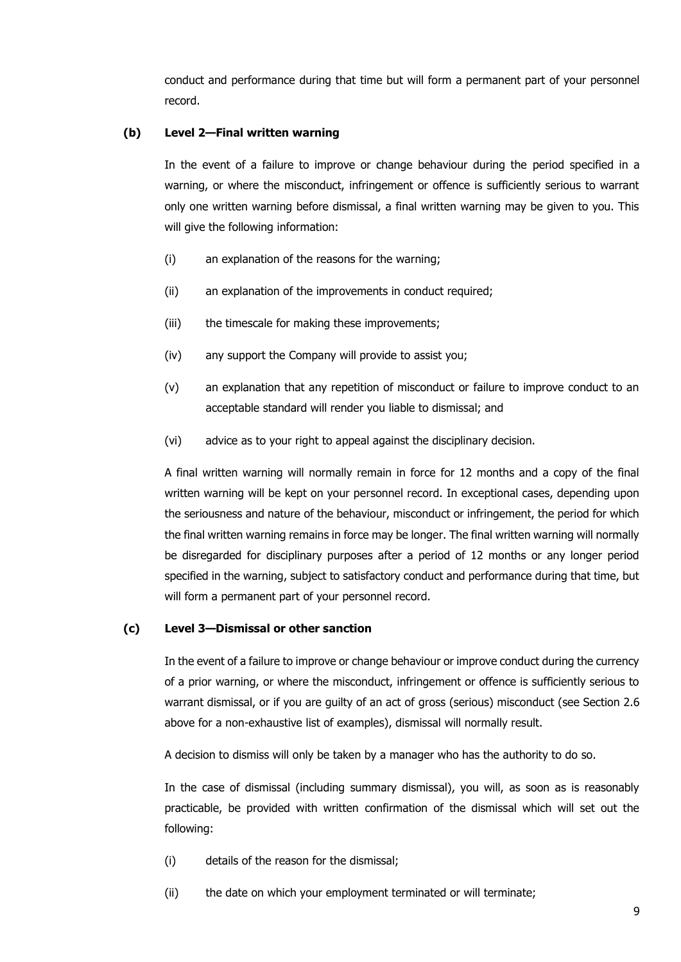conduct and performance during that time but will form a permanent part of your personnel record.

#### **(b) Level 2—Final written warning**

In the event of a failure to improve or change behaviour during the period specified in a warning, or where the misconduct, infringement or offence is sufficiently serious to warrant only one written warning before dismissal, a final written warning may be given to you. This will give the following information:

- (i) an explanation of the reasons for the warning;
- (ii) an explanation of the improvements in conduct required;
- (iii) the timescale for making these improvements;
- (iv) any support the Company will provide to assist you;
- (v) an explanation that any repetition of misconduct or failure to improve conduct to an acceptable standard will render you liable to dismissal; and
- (vi) advice as to your right to appeal against the disciplinary decision.

A final written warning will normally remain in force for 12 months and a copy of the final written warning will be kept on your personnel record. In exceptional cases, depending upon the seriousness and nature of the behaviour, misconduct or infringement, the period for which the final written warning remains in force may be longer. The final written warning will normally be disregarded for disciplinary purposes after a period of 12 months or any longer period specified in the warning, subject to satisfactory conduct and performance during that time, but will form a permanent part of your personnel record.

#### **(c) Level 3—Dismissal or other sanction**

In the event of a failure to improve or change behaviour or improve conduct during the currency of a prior warning, or where the misconduct, infringement or offence is sufficiently serious to warrant dismissal, or if you are guilty of an act of gross (serious) misconduct (see Section [2.6](#page-3-0) above for a non-exhaustive list of examples), dismissal will normally result.

A decision to dismiss will only be taken by a manager who has the authority to do so.

In the case of dismissal (including summary dismissal), you will, as soon as is reasonably practicable, be provided with written confirmation of the dismissal which will set out the following:

- (i) details of the reason for the dismissal;
- (ii) the date on which your employment terminated or will terminate;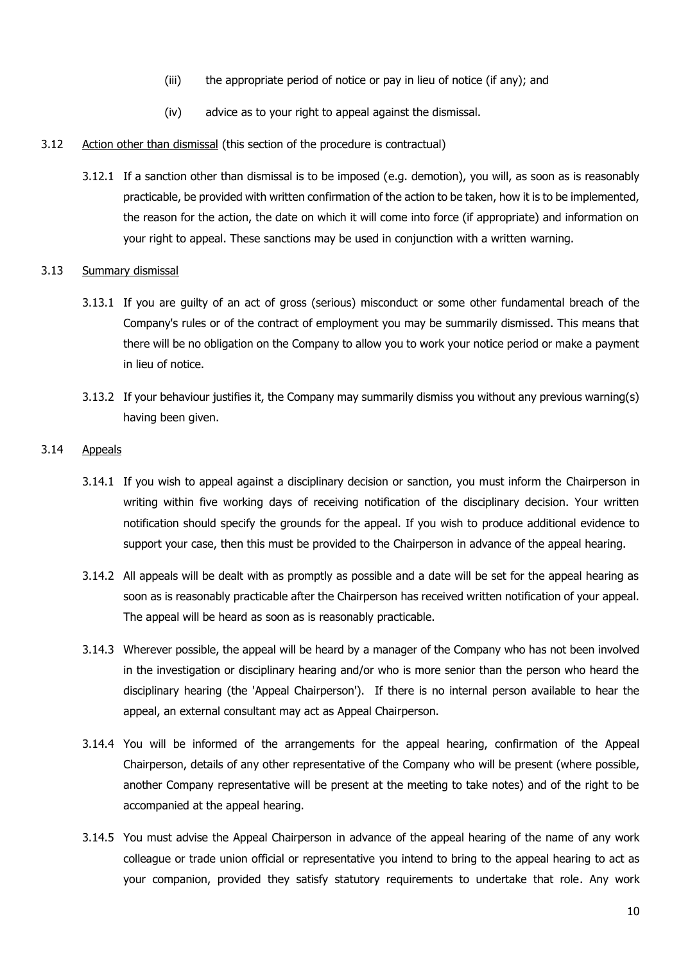- (iii) the appropriate period of notice or pay in lieu of notice (if any); and
- (iv) advice as to your right to appeal against the dismissal.
- <span id="page-9-0"></span>3.12 Action other than dismissal (this section of the procedure is contractual)
	- 3.12.1 If a sanction other than dismissal is to be imposed (e.g. demotion), you will, as soon as is reasonably practicable, be provided with written confirmation of the action to be taken, how it is to be implemented, the reason for the action, the date on which it will come into force (if appropriate) and information on your right to appeal. These sanctions may be used in conjunction with a written warning.

## 3.13 Summary dismissal

- 3.13.1 If you are guilty of an act of gross (serious) misconduct or some other fundamental breach of the Company's rules or of the contract of employment you may be summarily dismissed. This means that there will be no obligation on the Company to allow you to work your notice period or make a payment in lieu of notice.
- 3.13.2 If your behaviour justifies it, the Company may summarily dismiss you without any previous warning(s) having been given.

# 3.14 Appeals

- <span id="page-9-1"></span>3.14.1 If you wish to appeal against a disciplinary decision or sanction, you must inform the Chairperson in writing within five working days of receiving notification of the disciplinary decision. Your written notification should specify the grounds for the appeal. If you wish to produce additional evidence to support your case, then this must be provided to the Chairperson in advance of the appeal hearing.
- 3.14.2 All appeals will be dealt with as promptly as possible and a date will be set for the appeal hearing as soon as is reasonably practicable after the Chairperson has received written notification of your appeal. The appeal will be heard as soon as is reasonably practicable.
- 3.14.3 Wherever possible, the appeal will be heard by a manager of the Company who has not been involved in the investigation or disciplinary hearing and/or who is more senior than the person who heard the disciplinary hearing (the 'Appeal Chairperson'). If there is no internal person available to hear the appeal, an external consultant may act as Appeal Chairperson.
- 3.14.4 You will be informed of the arrangements for the appeal hearing, confirmation of the Appeal Chairperson, details of any other representative of the Company who will be present (where possible, another Company representative will be present at the meeting to take notes) and of the right to be accompanied at the appeal hearing.
- 3.14.5 You must advise the Appeal Chairperson in advance of the appeal hearing of the name of any work colleague or trade union official or representative you intend to bring to the appeal hearing to act as your companion, provided they satisfy statutory requirements to undertake that role. Any work